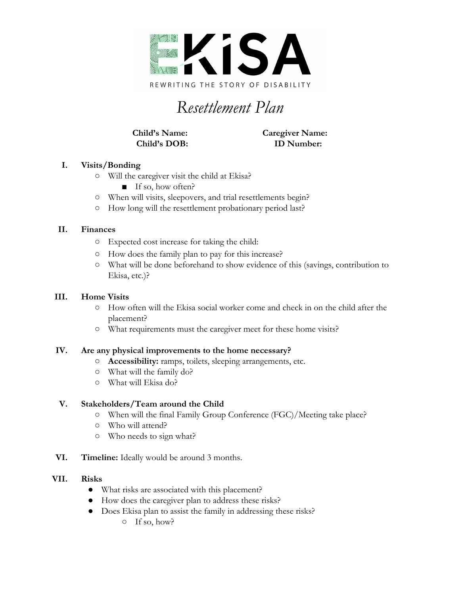

# *Resettlement Plan*

**Child's Name: Caregiver Name: Child's DOB: ID Number:**

## **I. Visits/Bonding**

- Will the caregiver visit the child at Ekisa?
	- If so, how often?
- When will visits, sleepovers, and trial resettlements begin?
- How long will the resettlement probationary period last?

## **II. Finances**

- Expected cost increase for taking the child:
- How does the family plan to pay for this increase?
- What will be done beforehand to show evidence of this (savings, contribution to Ekisa, etc.)?

## **III. Home Visits**

- **○** How often will the Ekisa social worker come and check in on the child after the placement?
- **○** What requirements must the caregiver meet for these home visits?

#### **IV. Are any physical improvements to the home necessary?**

- **○ Accessibility:** ramps, toilets, sleeping arrangements, etc.
- **○** What will the family do?
- **○** What will Ekisa do?

#### **V. Stakeholders/Team around the Child**

- **○** When will the final Family Group Conference (FGC)/Meeting take place?
- Who will attend?
- Who needs to sign what?
- **VI. Timeline:** Ideally would be around 3 months.

#### **VII. Risks**

- What risks are associated with this placement?
- How does the caregiver plan to address these risks?
- Does Ekisa plan to assist the family in addressing these risks?
	- If so, how?